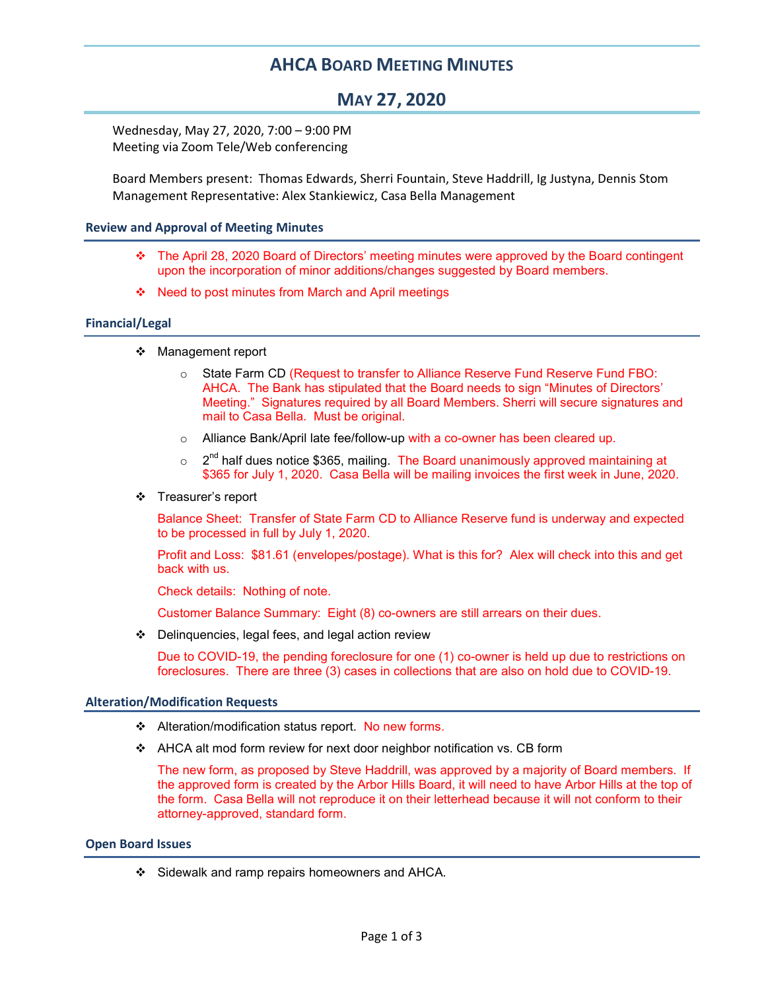# AHCA BOARD MEETING MINUTES

# MAY 27, 2020

Wednesday, May 27, 2020, 7:00 – 9:00 PM Meeting via Zoom Tele/Web conferencing

Board Members present: Thomas Edwards, Sherri Fountain, Steve Haddrill, Ig Justyna, Dennis Stom Management Representative: Alex Stankiewicz, Casa Bella Management

## Review and Approval of Meeting Minutes

- The April 28, 2020 Board of Directors' meeting minutes were approved by the Board contingent upon the incorporation of minor additions/changes suggested by Board members.
- ❖ Need to post minutes from March and April meetings

## Financial/Legal

- ❖ Management report
	- o State Farm CD (Request to transfer to Alliance Reserve Fund Reserve Fund FBO: AHCA. The Bank has stipulated that the Board needs to sign "Minutes of Directors' Meeting." Signatures required by all Board Members. Sherri will secure signatures and mail to Casa Bella. Must be original.
	- $\circ$  Alliance Bank/April late fee/follow-up with a co-owner has been cleared up.
	- $\circ$  2<sup>nd</sup> half dues notice \$365, mailing. The Board unanimously approved maintaining at \$365 for July 1, 2020. Casa Bella will be mailing invoices the first week in June, 2020.
- Treasurer's report

Balance Sheet: Transfer of State Farm CD to Alliance Reserve fund is underway and expected to be processed in full by July 1, 2020.

Profit and Loss: \$81.61 (envelopes/postage). What is this for? Alex will check into this and get back with us.

Check details: Nothing of note.

Customer Balance Summary: Eight (8) co-owners are still arrears on their dues.

 $\div$  Delinquencies, legal fees, and legal action review

Due to COVID-19, the pending foreclosure for one (1) co-owner is held up due to restrictions on foreclosures. There are three (3) cases in collections that are also on hold due to COVID-19.

#### Alteration/Modification Requests

- \* Alteration/modification status report. No new forms.
- AHCA alt mod form review for next door neighbor notification vs. CB form

The new form, as proposed by Steve Haddrill, was approved by a majority of Board members. If the approved form is created by the Arbor Hills Board, it will need to have Arbor Hills at the top of the form. Casa Bella will not reproduce it on their letterhead because it will not conform to their attorney-approved, standard form.

#### Open Board Issues

Sidewalk and ramp repairs homeowners and AHCA.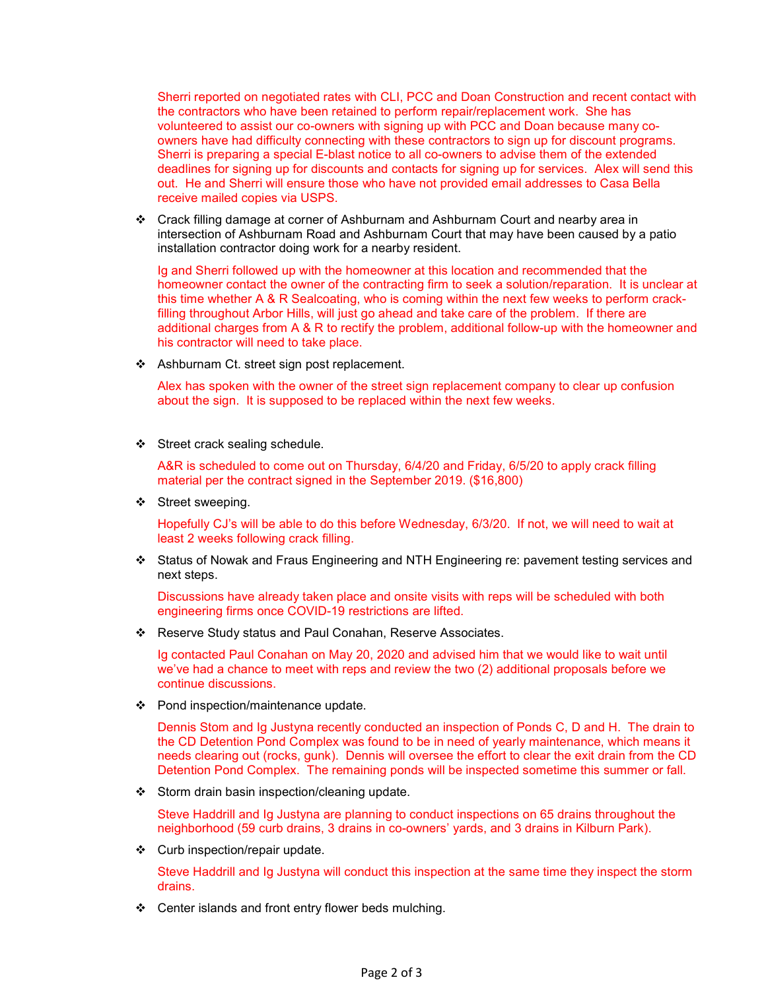Sherri reported on negotiated rates with CLI, PCC and Doan Construction and recent contact with the contractors who have been retained to perform repair/replacement work. She has volunteered to assist our co-owners with signing up with PCC and Doan because many coowners have had difficulty connecting with these contractors to sign up for discount programs. Sherri is preparing a special E-blast notice to all co-owners to advise them of the extended deadlines for signing up for discounts and contacts for signing up for services. Alex will send this out. He and Sherri will ensure those who have not provided email addresses to Casa Bella receive mailed copies via USPS.

 Crack filling damage at corner of Ashburnam and Ashburnam Court and nearby area in intersection of Ashburnam Road and Ashburnam Court that may have been caused by a patio installation contractor doing work for a nearby resident.

Ig and Sherri followed up with the homeowner at this location and recommended that the homeowner contact the owner of the contracting firm to seek a solution/reparation. It is unclear at this time whether A & R Sealcoating, who is coming within the next few weeks to perform crackfilling throughout Arbor Hills, will just go ahead and take care of the problem. If there are additional charges from A & R to rectify the problem, additional follow-up with the homeowner and his contractor will need to take place.

❖ Ashburnam Ct. street sign post replacement.

Alex has spoken with the owner of the street sign replacement company to clear up confusion about the sign. It is supposed to be replaced within the next few weeks.

Street crack sealing schedule.

A&R is scheduled to come out on Thursday, 6/4/20 and Friday, 6/5/20 to apply crack filling material per the contract signed in the September 2019. (\$16,800)

❖ Street sweeping.

Hopefully CJ's will be able to do this before Wednesday, 6/3/20. If not, we will need to wait at least 2 weeks following crack filling.

 Status of Nowak and Fraus Engineering and NTH Engineering re: pavement testing services and next steps.

Discussions have already taken place and onsite visits with reps will be scheduled with both engineering firms once COVID-19 restrictions are lifted.

\* Reserve Study status and Paul Conahan, Reserve Associates.

Ig contacted Paul Conahan on May 20, 2020 and advised him that we would like to wait until we've had a chance to meet with reps and review the two (2) additional proposals before we continue discussions.

Pond inspection/maintenance update.

Dennis Stom and Ig Justyna recently conducted an inspection of Ponds C, D and H. The drain to the CD Detention Pond Complex was found to be in need of yearly maintenance, which means it needs clearing out (rocks, gunk). Dennis will oversee the effort to clear the exit drain from the CD Detention Pond Complex. The remaining ponds will be inspected sometime this summer or fall.

Storm drain basin inspection/cleaning update.

Steve Haddrill and Ig Justyna are planning to conduct inspections on 65 drains throughout the neighborhood (59 curb drains, 3 drains in co-owners' yards, and 3 drains in Kilburn Park).

Curb inspection/repair update.

Steve Haddrill and Ig Justyna will conduct this inspection at the same time they inspect the storm drains.

❖ Center islands and front entry flower beds mulching.